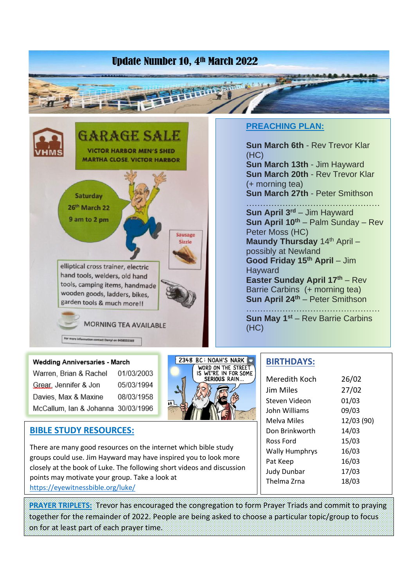# Update Number 10, 4th March 2022



#### **PREACHING PLAN:**

**Sun March 6th** - Rev Trevor Klar (HC) **Sun March 13th** - Jim Hayward **Sun March 20th** - Rev Trevor Klar (+ morning tea) **Sun March 27th** - Peter Smithson

………………………………………… **Sun April 3rd** – Jim Hayward **Sun April 10th** – Palm Sunday – Rev Peter Moss (HC) **Maundy Thursday** 14<sup>th</sup> April possibly at Newland **Good Friday 15th April** – Jim **Hayward Easter Sunday April 17th** – Rev Barrie Carbins (+ morning tea) **Sun April 24th** – Peter Smithson

………………………………………… **Sun May 1st** – Rev Barrie Carbins (HC)

#### **Wedding Anniversaries - March** Warren, Brian & Rachel 01/03/2003 Grear, Jennifer & Jon 05/03/1994 Davies, Max & Maxine 08/03/1958 McCallum, Ian & Johanna 30/03/1996



## **BIBLE STUDY RESOURCES:**

There are many good resources on the internet which bible study groups could use. Jim Hayward may have inspired you to look more closely at the book of Luke. The following short videos and discussion points may motivate your group. Take a look at <https://eyewitnessbible.org/luke/>

**PRAYER TRIPLETS:** Trevor has encouraged the congregation to form Prayer Triads and commit to praying together for the remainder of 2022. People are being asked to choose a particular topic/group to focus on for at least part of each prayer time.

#### **BIRTHDAYS:**

| Meredith Koch         | 26/02      |
|-----------------------|------------|
| Jim Miles             | 27/02      |
| Steven Videon         | 01/03      |
| John Williams         | 09/03      |
| Melva Miles           | 12/03 (90) |
| Don Brinkworth        | 14/03      |
| Ross Ford             | 15/03      |
| <b>Wally Humphrys</b> | 16/03      |
| Pat Keep              | 16/03      |
| <b>Judy Dunbar</b>    | 17/03      |
| Thelma Zrna           | 18/03      |
|                       |            |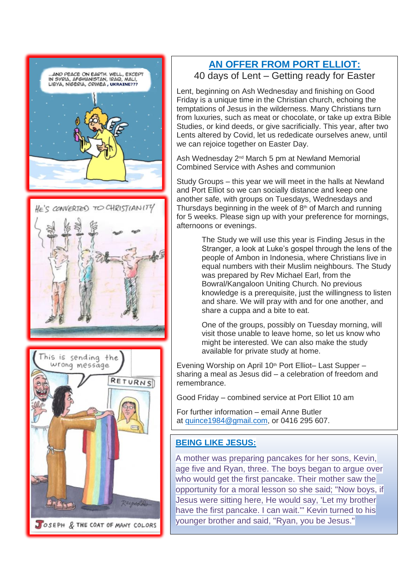

## **AN OFFER FROM PORT ELLIOT:** 40 days of Lent – Getting ready for Easter

Lent, beginning on Ash Wednesday and finishing on Good Friday is a unique time in the Christian church, echoing the temptations of Jesus in the wilderness. Many Christians turn from luxuries, such as meat or chocolate, or take up extra Bible Studies, or kind deeds, or give sacrificially. This year, after two Lents altered by Covid, let us rededicate ourselves anew, until we can rejoice together on Easter Day.

Ash Wednesday 2nd March 5 pm at Newland Memorial Combined Service with Ashes and communion

Study Groups – this year we will meet in the halls at Newland and Port Elliot so we can socially distance and keep one another safe, with groups on Tuesdays, Wednesdays and Thursdays beginning in the week of  $8<sup>th</sup>$  of March and running for 5 weeks. Please sign up with your preference for mornings, afternoons or evenings.

> The Study we will use this year is Finding Jesus in the Stranger, a look at Luke's gospel through the lens of the people of Ambon in Indonesia, where Christians live in equal numbers with their Muslim neighbours. The Study was prepared by Rev Michael Earl, from the Bowral/Kangaloon Uniting Church. No previous knowledge is a prerequisite, just the willingness to listen and share. We will pray with and for one another, and share a cuppa and a bite to eat.

One of the groups, possibly on Tuesday morning, will visit those unable to leave home, so let us know who might be interested. We can also make the study available for private study at home.

Evening Worship on April 10<sup>th</sup> Port Elliot– Last Supper – sharing a meal as Jesus did – a celebration of freedom and remembrance.

Good Friday – combined service at Port Elliot 10 am

For further information – email Anne Butler at [quince1984@gmail.com](mailto:quince1984@gmail.com), or 0416 295 607.

## **BEING LIKE JESUS:**

A mother was preparing pancakes for her sons, Kevin, age five and Ryan, three. The boys began to argue over who would get the first pancake. Their mother saw the opportunity for a moral lesson so she said; "Now boys, if Jesus were sitting here, He would say, 'Let my brother have the first pancake. I can wait." Kevin turned to his younger brother and said, "Ryan, you be Jesus."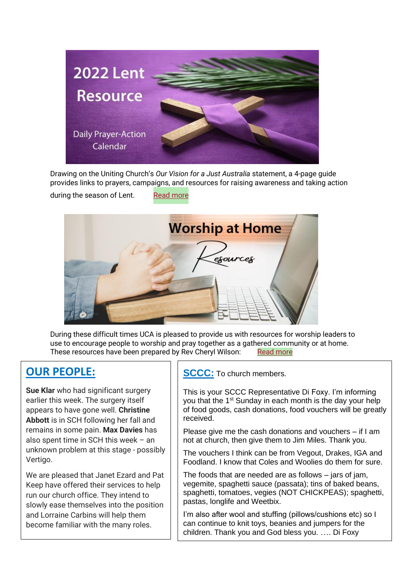

Drawing on the Uniting Church's *Our Vision for a Just Australia* statement, a 4-page guide provides links to prayers, campaigns, and resources for raising awareness and taking action

during the season of Lent. [Read more](https://unitingchurchinsa.cmail20.com/t/j-l-zdknid-atktunyu-j/)



During these difficult times UCA is pleased to provide us with resources for worship leaders to use to encourage people to worship and pray together as a gathered community or at home. These resources have been prepared by Rev Cheryl Wilson: [Read more](https://unitingchurchinsa.cmail20.com/t/j-l-zdknid-atktunyu-u/)

# **OUR PEOPLE:**

**Sue Klar** who had significant surgery earlier this week. The surgery itself appears to have gone well. **Christine Abbott** is in SCH following her fall and remains in some pain. **Max Davies** has also spent time in SCH this week – an unknown problem at this stage - possibly Vertigo.

We are pleased that Janet Ezard and Pat Keep have offered their services to help run our church office. They intend to slowly ease themselves into the position and Lorraine Carbins will help them become familiar with the many roles.

**SCCC:** To church members.

This is your SCCC Representative Di Foxy. I'm informing you that the 1<sup>st</sup> Sunday in each month is the day your help of food goods, cash donations, food vouchers will be greatly received.

Please give me the cash donations and vouchers – if I am not at church, then give them to Jim Miles. Thank you.

The vouchers I think can be from Vegout, Drakes, IGA and Foodland. I know that Coles and Woolies do them for sure.

The foods that are needed are as follows – jars of jam, vegemite, spaghetti sauce (passata); tins of baked beans, spaghetti, tomatoes, vegies (NOT CHICKPEAS); spaghetti, pastas, longlife and Weetbix.

I'm also after wool and stuffing (pillows/cushions etc) so I can continue to knit toys, beanies and jumpers for the children. Thank you and God bless you. …. Di Foxy